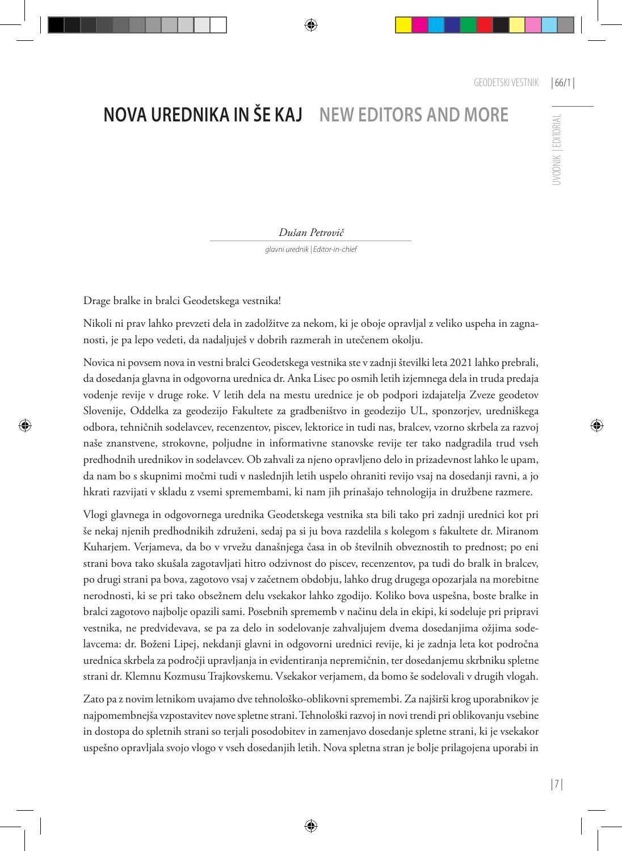## **NOVA UREDNIKA IN ŠE KAJ NEW EDITORS AND MORE**

**IVODNIK | EDITORIAL** UVODNIK | EDITORIAL

*Dušan Petrovič*

*glavni urednik | Editor-in-chief*

Drage bralke in bralci Geodetskega vestnika!

Nikoli ni prav lahko prevzeti dela in zadolžitve za nekom, ki je oboje opravljal z veliko uspeha in zagnanosti, je pa lepo vedeti, da nadaljuješ v dobrih razmerah in utečenem okolju.

Novica ni povsem nova in vestni bralci Geodetskega vestnika ste v zadnji številki leta 2021 lahko prebrali, da dosedanja glavna in odgovorna urednica dr. Anka Lisec po osmih letih izjemnega dela in truda predaja vodenje revije v druge roke. V letih dela na mestu urednice je ob podpori izdajatelja Zveze geodetov Slovenije, Oddelka za geodezijo Fakultete za gradbeništvo in geodezijo UL, sponzorjev, uredniškega odbora, tehničnih sodelavcev, recenzentov, piscev, lektorice in tudi nas, bralcev, vzorno skrbela za razvoj naše znanstvene, strokovne, poljudne in informativne stanovske revije ter tako nadgradila trud vseh predhodnih urednikov in sodelavcev. Ob zahvali za njeno opravljeno delo in prizadevnost lahko le upam, da nam bo s skupnimi močmi tudi v naslednjih letih uspelo ohraniti revijo vsaj na dosedanji ravni, a jo hkrati razvijati v skladu z vsemi spremembami, ki nam jih prinašajo tehnologija in družbene razmere.

Vlogi glavnega in odgovornega urednika Geodetskega vestnika sta bili tako pri zadnji urednici kot pri še nekaj njenih predhodnikih združeni, sedaj pa si ju bova razdelila s kolegom s fakultete dr. Miranom Kuharjem. Verjameva, da bo v vrvežu današnjega časa in ob številnih obveznostih to prednost; po eni strani bova tako skušala zagotavljati hitro odzivnost do piscev, recenzentov, pa tudi do bralk in bralcev, po drugi strani pa bova, zagotovo vsaj v začetnem obdobju, lahko drug drugega opozarjala na morebitne nerodnosti, ki se pri tako obsežnem delu vsekakor lahko zgodijo. Koliko bova uspešna, boste bralke in bralci zagotovo najbolje opazili sami. Posebnih sprememb v načinu dela in ekipi, ki sodeluje pri pripravi vestnika, ne predvidevava, se pa za delo in sodelovanje zahvaljujem dvema dosedanjima ožjima sodelavcema: dr. Boženi Lipej, nekdanji glavni in odgovorni urednici revije, ki je zadnja leta kot področna urednica skrbela za področji upravljanja in evidentiranja nepremičnin, ter dosedanjemu skrbniku spletne strani dr. Klemnu Kozmusu Trajkovskemu. Vsekakor verjamem, da bomo še sodelovali v drugih vlogah.

Zato pa z novim letnikom uvajamo dve tehnološko-oblikovni spremembi. Za najširši krog uporabnikov je najpomembnejša vzpostavitev nove spletne strani. Tehnološki razvoj in novi trendi pri oblikovanju vsebine in dostopa do spletnih strani so terjali posodobitev in zamenjavo dosedanje spletne strani, ki je vsekakor uspešno opravljala svojo vlogo v vseh dosedanjih letih. Nova spletna stran je bolje prilagojena uporabi in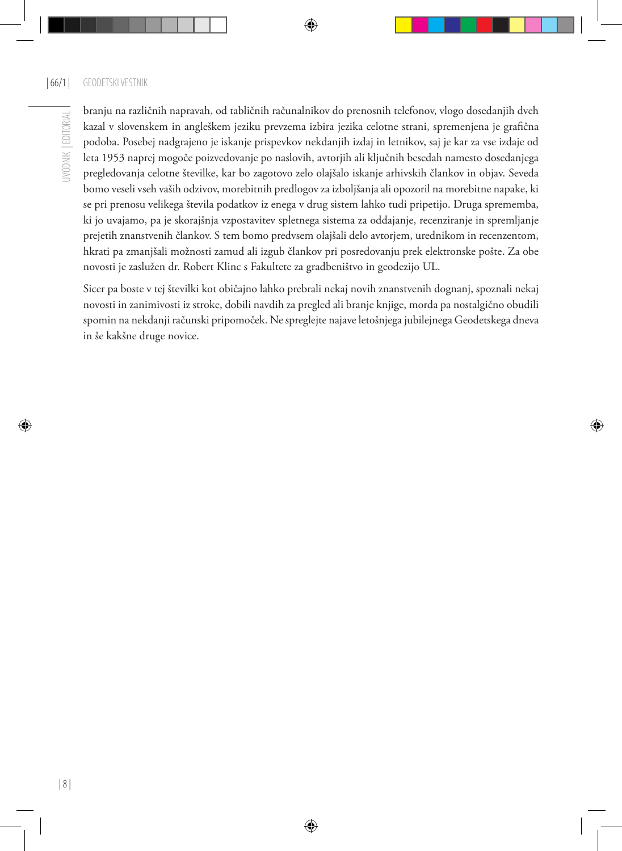branju na različnih napravah, od tabličnih računalnikov do prenosnih telefonov, vlogo dosedanjih dveh kazal v slovenskem in angleškem jeziku prevzema izbira jezika celotne strani, spremenjena je grafična podoba. Posebej nadgrajeno je iskanje prispevkov nekdanjih izdaj in letnikov, saj je kar za vse izdaje od leta 1953 naprej mogoče poizvedovanje po naslovih, avtorjih ali ključnih besedah namesto dosedanjega pregledovanja celotne številke, kar bo zagotovo zelo olajšalo iskanje arhivskih člankov in objav. Seveda bomo veseli vseh vaših odzivov, morebitnih predlogov za izboljšanja ali opozoril na morebitne napake, ki se pri prenosu velikega števila podatkov iz enega v drug sistem lahko tudi pripetijo. Druga sprememba, ki jo uvajamo, pa je skorajšnja vzpostavitev spletnega sistema za oddajanje, recenziranje in spremljanje prejetih znanstvenih člankov. S tem bomo predvsem olajšali delo avtorjem, urednikom in recenzentom, hkrati pa zmanjšali možnosti zamud ali izgub člankov pri posredovanju prek elektronske pošte. Za obe novosti je zaslužen dr. Robert Klinc s Fakultete za gradbeništvo in geodezijo UL.

Sicer pa boste v tej številki kot običajno lahko prebrali nekaj novih znanstvenih dognanj, spoznali nekaj novosti in zanimivosti iz stroke, dobili navdih za pregled ali branje knjige, morda pa nostalgično obudili spomin na nekdanji računski pripomoček. Ne spreglejte najave letošnjega jubilejnega Geodetskega dneva in še kakšne druge novice.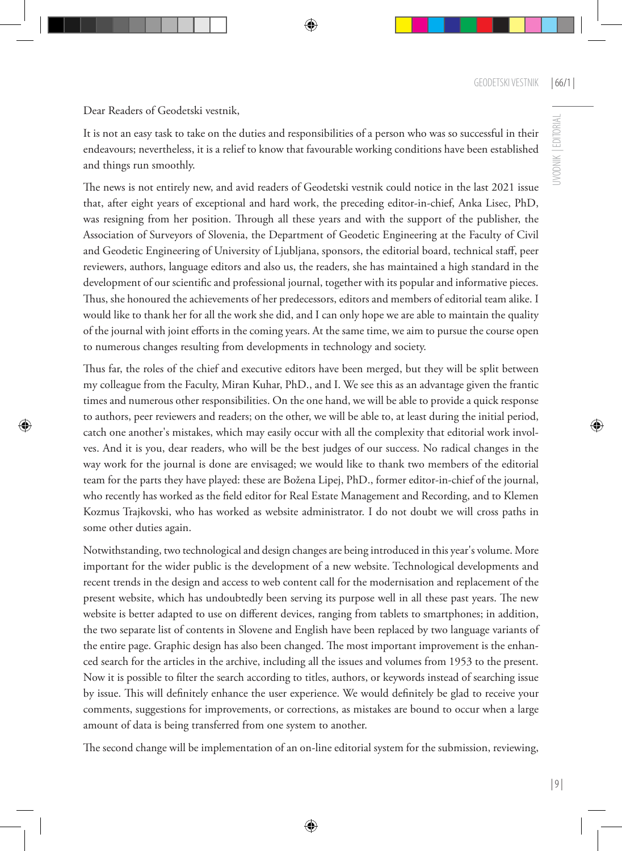Dear Readers of Geodetski vestnik,

It is not an easy task to take on the duties and responsibilities of a person who was so successful in their endeavours; nevertheless, it is a relief to know that favourable working conditions have been established and things run smoothly.

The news is not entirely new, and avid readers of Geodetski vestnik could notice in the last 2021 issue that, after eight years of exceptional and hard work, the preceding editor-in-chief, Anka Lisec, PhD, was resigning from her position. Through all these years and with the support of the publisher, the Association of Surveyors of Slovenia, the Department of Geodetic Engineering at the Faculty of Civil and Geodetic Engineering of University of Ljubljana, sponsors, the editorial board, technical staff, peer reviewers, authors, language editors and also us, the readers, she has maintained a high standard in the development of our scientific and professional journal, together with its popular and informative pieces. Thus, she honoured the achievements of her predecessors, editors and members of editorial team alike. I would like to thank her for all the work she did, and I can only hope we are able to maintain the quality of the journal with joint efforts in the coming years. At the same time, we aim to pursue the course open to numerous changes resulting from developments in technology and society.

Thus far, the roles of the chief and executive editors have been merged, but they will be split between my colleague from the Faculty, Miran Kuhar, PhD., and I. We see this as an advantage given the frantic times and numerous other responsibilities. On the one hand, we will be able to provide a quick response to authors, peer reviewers and readers; on the other, we will be able to, at least during the initial period, catch one another's mistakes, which may easily occur with all the complexity that editorial work involves. And it is you, dear readers, who will be the best judges of our success. No radical changes in the way work for the journal is done are envisaged; we would like to thank two members of the editorial team for the parts they have played: these are Božena Lipej, PhD., former editor-in-chief of the journal, who recently has worked as the \$eld editor for Real Estate Management and Recording, and to Klemen Kozmus Trajkovski, who has worked as website administrator. I do not doubt we will cross paths in some other duties again.

Notwithstanding, two technological and design changes are being introduced in this year's volume. More important for the wider public is the development of a new website. Technological developments and recent trends in the design and access to web content call for the modernisation and replacement of the present website, which has undoubtedly been serving its purpose well in all these past years. The new website is better adapted to use on different devices, ranging from tablets to smartphones; in addition, the two separate list of contents in Slovene and English have been replaced by two language variants of the entire page. Graphic design has also been changed. The most important improvement is the enhanced search for the articles in the archive, including all the issues and volumes from 1953 to the present. Now it is possible to filter the search according to titles, authors, or keywords instead of searching issue by issue. This will definitely enhance the user experience. We would definitely be glad to receive your comments, suggestions for improvements, or corrections, as mistakes are bound to occur when a large amount of data is being transferred from one system to another.

The second change will be implementation of an on-line editorial system for the submission, reviewing,